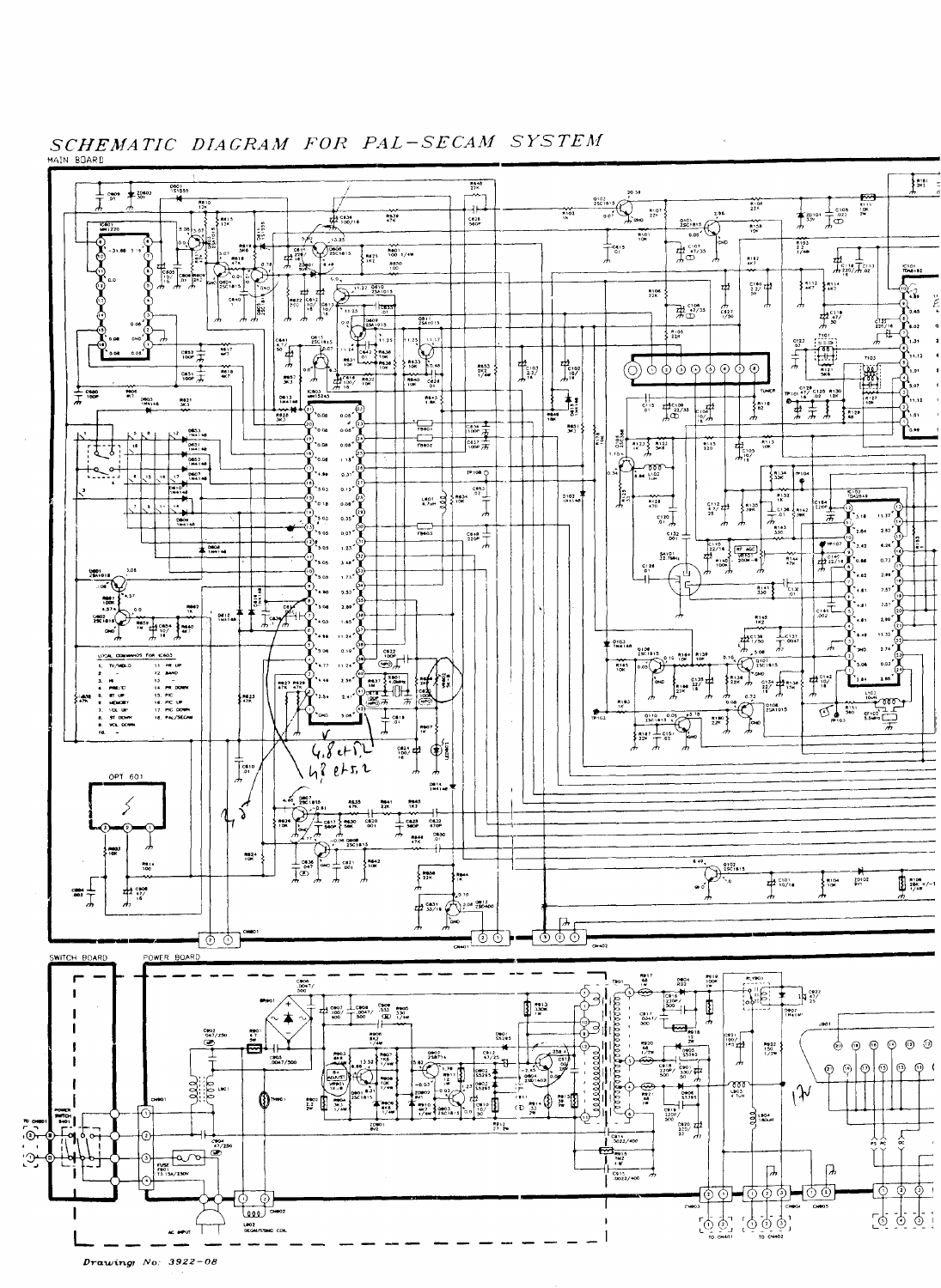

SCHEMATIC DIAGRAM FOR PAL-SECAM SYSTEM

Drawing  $No: 3922 - 08$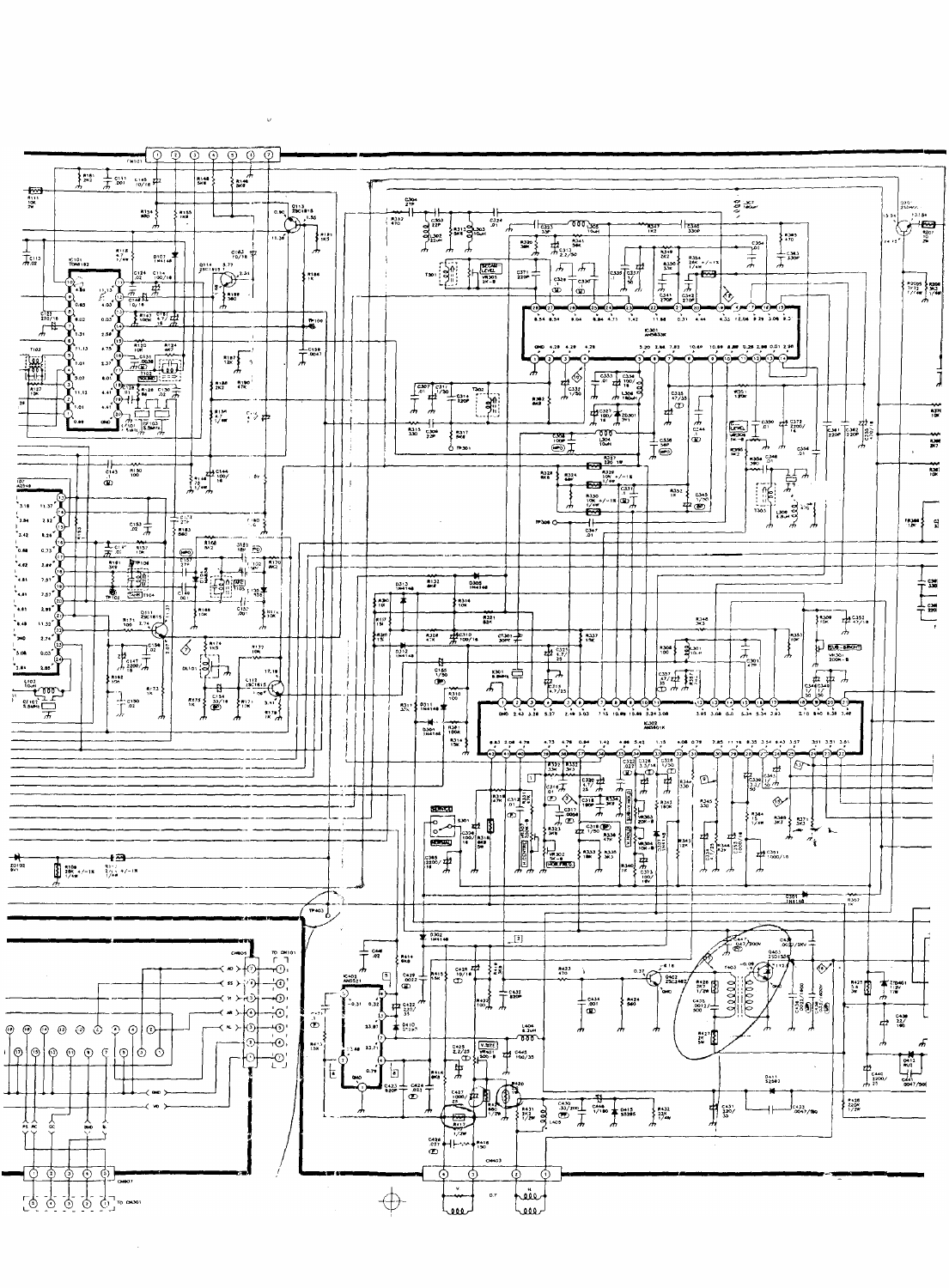